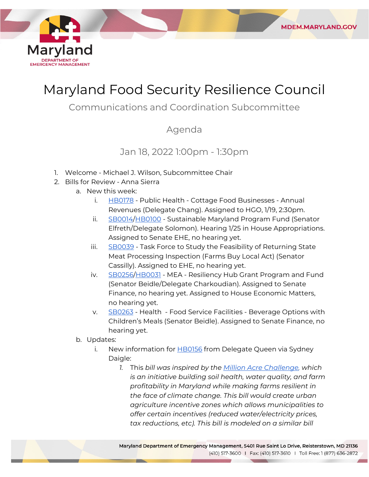

# Maryland Food Security Resilience Council

**MDEM.MARYLAND.GOV** 

# Communications and Coordination Subcommittee

### Agenda

# Jan 18, 2022 1:00pm - 1:30pm

- 1. Welcome Michael J. Wilson, Subcommittee Chair
- 2. Bills for Review Anna Sierra
	- a. New this week:
		- i. [HB0178](https://mgaleg.maryland.gov/mgawebsite/Legislation/Details/hb0178?ys=2022RS) Public Health Cottage Food Businesses Annual Revenues (Delegate Chang). Assigned to HGO, 1/19, 2:30pm.
		- ii. [SB0014](https://mgaleg.maryland.gov/mgawebsite/Legislation/Details/sb0014?ys=2022RS)[/HB0100](https://mgaleg.maryland.gov/mgawebsite/Legislation/Details/HB0100?ys=2022RS) Sustainable Maryland Program Fund (Senator Elfreth/Delegate Solomon). Hearing 1/25 in House Appropriations. Assigned to Senate EHE, no hearing yet.
		- iii. [SB0039](https://mgaleg.maryland.gov/mgawebsite/Legislation/Details/sb0039?ys=2022RS) Task Force to Study the Feasibility of Returning State Meat Processing Inspection (Farms Buy Local Act) (Senator Cassilly). Assigned to EHE, no hearing yet.
		- iv. [SB0256/](https://mgaleg.maryland.gov/mgawebsite/Legislation/Details/sb0256?ys=2022RS)[HB0031](https://mgaleg.maryland.gov/mgawebsite/Legislation/Details/hb0031?ys=2022RS) MEA Resiliency Hub Grant Program and Fund (Senator Beidle/Delegate Charkoudian). Assigned to Senate Finance, no hearing yet. Assigned to House Economic Matters, no hearing yet.
		- v. [SB0263](https://mgaleg.maryland.gov/mgawebsite/Legislation/Details/sb0263?ys=2022RS) Health Food Service Facilities Beverage Options with Children's Meals (Senator Beidle). Assigned to Senate Finance, no hearing yet.
	- b. Updates:
		- i. New information for [HB0156](https://mgaleg.maryland.gov/mgawebsite/Legislation/Details/hb0156) from Delegate Queen via Sydney Daigle:
			- *1.* This *bill was inspired by the [Million Acre Challenge,](https://millionacrechallenge.org/) which is an initiative building soil health, water quality, and farm profitability in Maryland while making farms resilient in the face of climate change. This bill would create urban agriculture incentive zones which allows municipalities to offer certain incentives (reduced water/electricity prices, tax reductions, etc). This bill is modeled on a similar bill*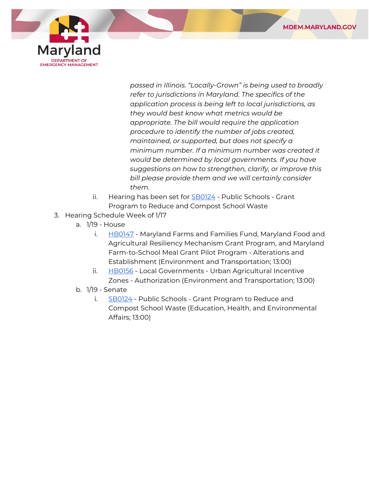



*passed in Illinois. "Locally-Grown" is being used to broadly refer to jurisdictions in Maryland. The specifics of the application process is being left to local jurisdictions, as they would best know what metrics would be appropriate. The bill would require the application procedure to identify the number of jobs created, maintained, or supported, but does not specify a minimum number. If a minimum number was created it would be determined by local governments. If you have suggestions on how to strengthen, clarify, or improve this bill please provide them and we will certainly consider them.*

- ii. Hearing has been set for [SB0124](https://mgaleg.maryland.gov/mgawebsite/Legislation/Details/SB0124?ys=2022RS)  Public Schools Grant Program to Reduce and Compost School Waste
- 3. Hearing Schedule Week of 1/17
	- a. 1/19 House
		- i. [HB0147](https://mgaleg.maryland.gov/mgawebsite/Legislation/Details/hb0147)  Maryland Farms and Families Fund, Maryland Food and Agricultural Resiliency Mechanism Grant Program, and Maryland Farm-to-School Meal Grant Pilot Program - Alterations and Establishment (Environment and Transportation; 13:00)
		- ii. [HB0156](https://mgaleg.maryland.gov/mgawebsite/Legislation/Details/hb0156)  Local Governments Urban Agricultural Incentive Zones - Authorization (Environment and Transportation; 13:00)
	- b. 1/19 Senate
		- i. [SB0124](https://mgaleg.maryland.gov/mgawebsite/Legislation/Details/SB0124?ys=2022RS)  Public Schools Grant Program to Reduce and Compost School Waste (Education, Health, and Environmental Affairs; 13:00)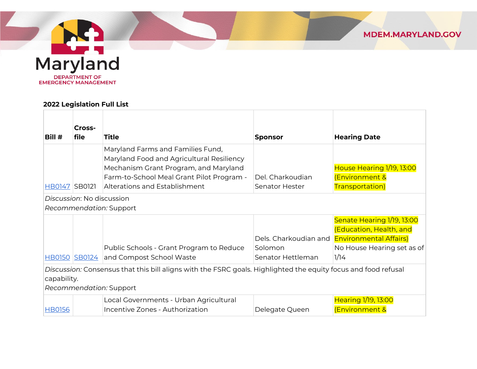

#### **2022 Legislation Full List**

| Bill #                                                                                                                                                   | Cross-<br>file | Title                                                                                                                                                                                                 | <b>Sponsor</b>                     | <b>Hearing Date</b>                                                                                                                         |
|----------------------------------------------------------------------------------------------------------------------------------------------------------|----------------|-------------------------------------------------------------------------------------------------------------------------------------------------------------------------------------------------------|------------------------------------|---------------------------------------------------------------------------------------------------------------------------------------------|
| HB0147 SB0121                                                                                                                                            |                | Maryland Farms and Families Fund,<br>Maryland Food and Agricultural Resiliency<br>Mechanism Grant Program, and Maryland<br>Farm-to-School Meal Grant Pilot Program -<br>Alterations and Establishment | Del. Charkoudian<br>Senator Hester | House Hearing 1/19, 13:00<br><b>Environment &amp;</b><br>Transportation)                                                                    |
| Discussion: No discussion<br>Recommendation: Support                                                                                                     |                |                                                                                                                                                                                                       |                                    |                                                                                                                                             |
|                                                                                                                                                          | HB0150 SB0124  | Public Schools - Grant Program to Reduce<br>and Compost School Waste                                                                                                                                  | Solomon<br>Senator Hettleman       | Senate Hearing 1/19, 13:00<br>(Education, Health, and<br>Dels. Charkoudian and Environmental Affairs)<br>No House Hearing set as of<br>1/14 |
| Discussion: Consensus that this bill aligns with the FSRC goals. Highlighted the equity focus and food refusal<br>capability.<br>Recommendation: Support |                |                                                                                                                                                                                                       |                                    |                                                                                                                                             |
| <b>HB0156</b>                                                                                                                                            |                | Local Governments - Urban Agricultural<br>Incentive Zones - Authorization                                                                                                                             | Delegate Queen                     | Hearing 1/19, 13:00<br><b>Environment &amp;</b>                                                                                             |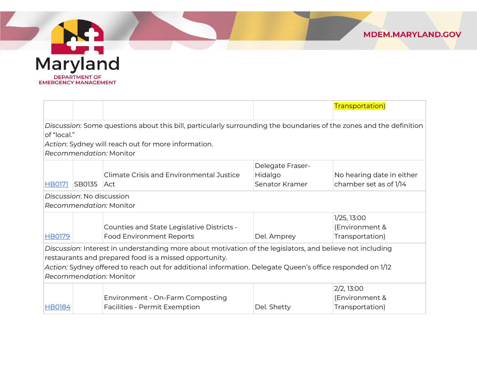

Maryland **DEPARTMENT OF EMERGENCY MANAGEMENT** 

|                                                                                                                     |                           |                                                     |                         | Transportation)           |  |
|---------------------------------------------------------------------------------------------------------------------|---------------------------|-----------------------------------------------------|-------------------------|---------------------------|--|
| Discussion: Some questions about this bill, particularly surrounding the boundaries of the zones and the definition |                           |                                                     |                         |                           |  |
| of "local."                                                                                                         |                           |                                                     |                         |                           |  |
|                                                                                                                     |                           | Action: Sydney will reach out for more information. |                         |                           |  |
|                                                                                                                     |                           | Recommendation: Monitor                             |                         |                           |  |
|                                                                                                                     |                           |                                                     | <b>Delegate Fraser-</b> |                           |  |
|                                                                                                                     |                           | Climate Crisis and Environmental Justice            | Hidalgo                 | No hearing date in either |  |
| <b>HB0171</b>                                                                                                       | <b>SB0135</b>             | ∣Act                                                | Senator Kramer          | chamber set as of 1/14    |  |
|                                                                                                                     | Discussion: No discussion |                                                     |                         |                           |  |
|                                                                                                                     |                           | Recommendation: Monitor                             |                         |                           |  |
|                                                                                                                     |                           |                                                     |                         | 1/25, 13:00               |  |
|                                                                                                                     |                           | Counties and State Legislative Districts -          |                         | (Environment &            |  |
| <b>HB0179</b>                                                                                                       |                           | <b>Food Environment Reports</b>                     | Del. Amprey             | Transportation)           |  |
| Discussion: Interest in understanding more about motivation of the legislators, and believe not including           |                           |                                                     |                         |                           |  |
| restaurants and prepared food is a missed opportunity.                                                              |                           |                                                     |                         |                           |  |
| Action: Sydney offered to reach out for additional information. Delegate Queen's office responded on 1/12           |                           |                                                     |                         |                           |  |
| Recommendation: Monitor                                                                                             |                           |                                                     |                         |                           |  |
|                                                                                                                     |                           |                                                     |                         | 2/2, 13:00                |  |
|                                                                                                                     |                           | Environment - On-Farm Composting                    |                         | (Environment &            |  |
| <b>HB0184</b>                                                                                                       |                           | Facilities - Permit Exemption                       | Del. Shetty             | Transportation)           |  |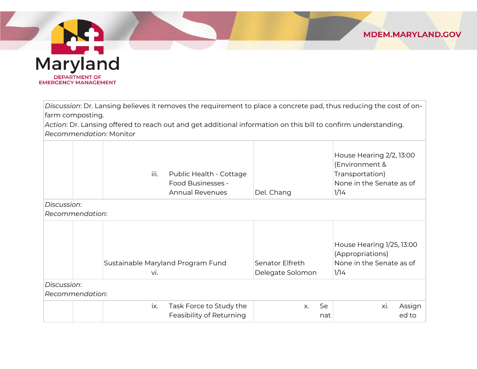

*Discussion*: Dr. Lansing believes it removes the requirement to place a concrete pad, thus reducing the cost of onfarm composting.

*Action*: Dr. Lansing offered to reach out and get additional information on this bill to confirm understanding. *Recommendation:* Monitor

|             | iii.            | Public Health - Cottage<br>Food Businesses -<br><b>Annual Revenues</b> | Del. Chang                          | House Hearing 2/2, 13:00<br>(Environment &<br>Transportation)<br>None in the Senate as of<br>1/14 |
|-------------|-----------------|------------------------------------------------------------------------|-------------------------------------|---------------------------------------------------------------------------------------------------|
| Discussion: |                 |                                                                        |                                     |                                                                                                   |
|             | Recommendation: |                                                                        |                                     |                                                                                                   |
|             | VI.             | Sustainable Maryland Program Fund                                      | Senator Elfreth<br>Delegate Solomon | House Hearing 1/25, 13:00<br>(Appropriations)<br>None in the Senate as of<br>1/14                 |
| Discussion: |                 |                                                                        |                                     |                                                                                                   |
|             | Recommendation: |                                                                        |                                     |                                                                                                   |
|             | ix.             | Task Force to Study the<br>Feasibility of Returning                    | Se<br>X.<br>nat                     | Assign<br>Xİ.<br>ed to                                                                            |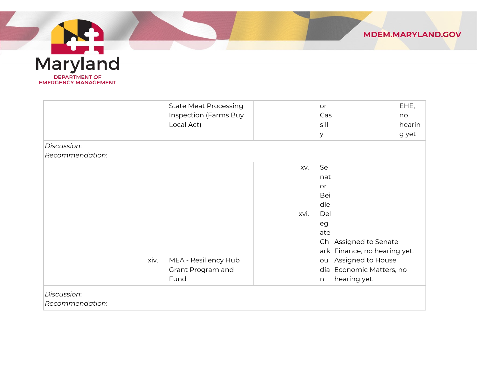



|                 | <b>State Meat Processing</b> | or   |                              | EHE,   |
|-----------------|------------------------------|------|------------------------------|--------|
|                 | Inspection (Farms Buy        |      | $\textsf{Cas}$               | no     |
|                 | Local Act)                   |      | sill                         | hearin |
|                 |                              | У    |                              | g yet  |
| Discussion:     |                              |      |                              |        |
| Recommendation: |                              |      |                              |        |
|                 |                              | XV.  | Se                           |        |
|                 |                              |      | nat                          |        |
|                 |                              | or   |                              |        |
|                 |                              |      | Bei                          |        |
|                 |                              |      | dle                          |        |
|                 |                              | xvi. | Del                          |        |
|                 |                              |      | eg                           |        |
|                 |                              |      | ate                          |        |
|                 |                              |      | Ch Assigned to Senate        |        |
|                 |                              |      | ark Finance, no hearing yet. |        |
| xiv.            | MEA - Resiliency Hub         |      | Assigned to House<br>ou      |        |
|                 | Grant Program and            |      | dia Economic Matters, no     |        |
|                 | Fund                         | n    | hearing yet.                 |        |
| Discussion:     |                              |      |                              |        |
| Recommendation: |                              |      |                              |        |